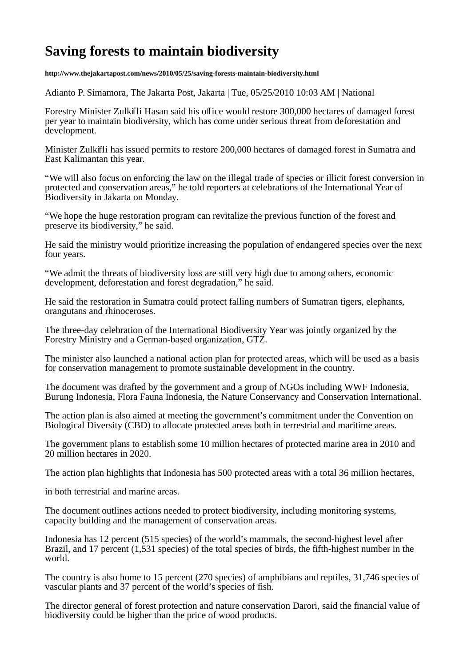## **Saving forests to maintain biodiversity**

**http://www.thejakartapost.com/news/2010/05/25/saving-forests-maintain-biodiversity.html**

Adianto P. Simamora, The Jakarta Post, Jakarta | Tue, 05/25/2010 10:03 AM | National

Forestry Minister Zulkifli Hasan said his office would restore 300,000 hectares of damaged forest per year to maintain biodiversity, which has come under serious threat from deforestation and development.

Minister Zulkifli has issued permits to restore 200,000 hectares of damaged forest in Sumatra and East Kalimantan this year.

"We will also focus on enforcing the law on the illegal trade of species or illicit forest conversion in protected and conservation areas," he told reporters at celebrations of the International Year of Biodiversity in Jakarta on Monday.

"We hope the huge restoration program can revitalize the previous function of the forest and preserve its biodiversity," he said.

He said the ministry would prioritize increasing the population of endangered species over the next four years.

"We admit the threats of biodiversity loss are still very high due to among others, economic development, deforestation and forest degradation," he said.

He said the restoration in Sumatra could protect falling numbers of Sumatran tigers, elephants, orangutans and rhinoceroses.

The three-day celebration of the International Biodiversity Year was jointly organized by the Forestry Ministry and a German-based organization, GTZ.

The minister also launched a national action plan for protected areas, which will be used as a basis for conservation management to promote sustainable development in the country.

The document was drafted by the government and a group of NGOs including WWF Indonesia, Burung Indonesia, Flora Fauna Indonesia, the Nature Conservancy and Conservation International.

The action plan is also aimed at meeting the government's commitment under the Convention on Biological Diversity (CBD) to allocate protected areas both in terrestrial and maritime areas.

The government plans to establish some 10 million hectares of protected marine area in 2010 and 20 million hectares in 2020.

The action plan highlights that Indonesia has 500 protected areas with a total 36 million hectares,

in both terrestrial and marine areas.

The document outlines actions needed to protect biodiversity, including monitoring systems, capacity building and the management of conservation areas.

Indonesia has 12 percent (515 species) of the world's mammals, the second-highest level after Brazil, and 17 percent (1,531 species) of the total species of birds, the fifth-highest number in the world.

The country is also home to 15 percent (270 species) of amphibians and reptiles, 31,746 species of vascular plants and 37 percent of the world's species of fish.

The director general of forest protection and nature conservation Darori, said the financial value of biodiversity could be higher than the price of wood products.